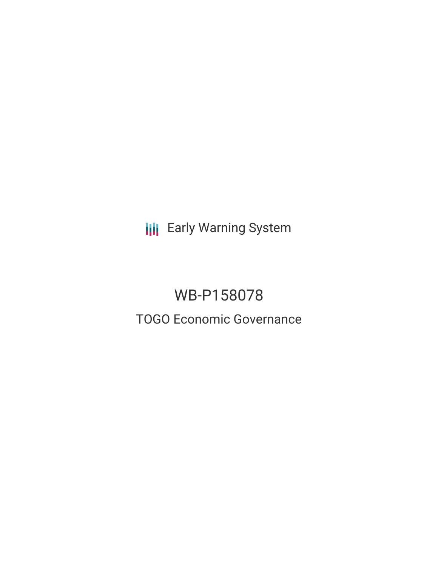**III** Early Warning System

# WB-P158078 TOGO Economic Governance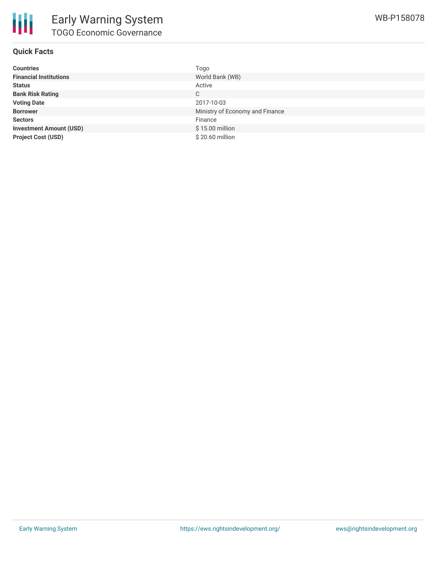

### **Quick Facts**

| <b>Countries</b>               | Togo                            |
|--------------------------------|---------------------------------|
| <b>Financial Institutions</b>  | World Bank (WB)                 |
| <b>Status</b>                  | Active                          |
| <b>Bank Risk Rating</b>        | C                               |
| <b>Voting Date</b>             | 2017-10-03                      |
| <b>Borrower</b>                | Ministry of Economy and Finance |
| <b>Sectors</b>                 | Finance                         |
| <b>Investment Amount (USD)</b> | \$15.00 million                 |
| <b>Project Cost (USD)</b>      | \$20.60 million                 |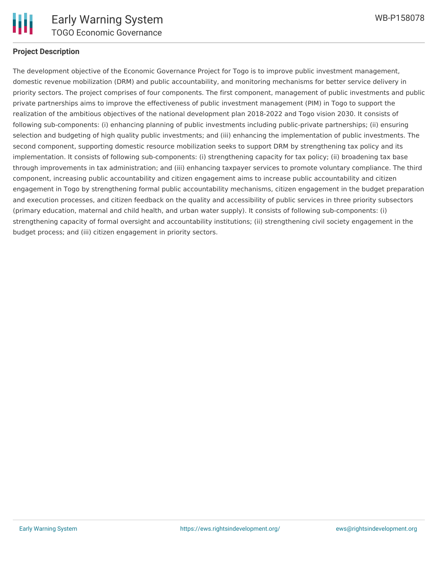

#### **Project Description**

The development objective of the Economic Governance Project for Togo is to improve public investment management, domestic revenue mobilization (DRM) and public accountability, and monitoring mechanisms for better service delivery in priority sectors. The project comprises of four components. The first component, management of public investments and public private partnerships aims to improve the effectiveness of public investment management (PIM) in Togo to support the realization of the ambitious objectives of the national development plan 2018-2022 and Togo vision 2030. It consists of following sub-components: (i) enhancing planning of public investments including public-private partnerships; (ii) ensuring selection and budgeting of high quality public investments; and (iii) enhancing the implementation of public investments. The second component, supporting domestic resource mobilization seeks to support DRM by strengthening tax policy and its implementation. It consists of following sub-components: (i) strengthening capacity for tax policy; (ii) broadening tax base through improvements in tax administration; and (iii) enhancing taxpayer services to promote voluntary compliance. The third component, increasing public accountability and citizen engagement aims to increase public accountability and citizen engagement in Togo by strengthening formal public accountability mechanisms, citizen engagement in the budget preparation and execution processes, and citizen feedback on the quality and accessibility of public services in three priority subsectors (primary education, maternal and child health, and urban water supply). It consists of following sub-components: (i) strengthening capacity of formal oversight and accountability institutions; (ii) strengthening civil society engagement in the budget process; and (iii) citizen engagement in priority sectors.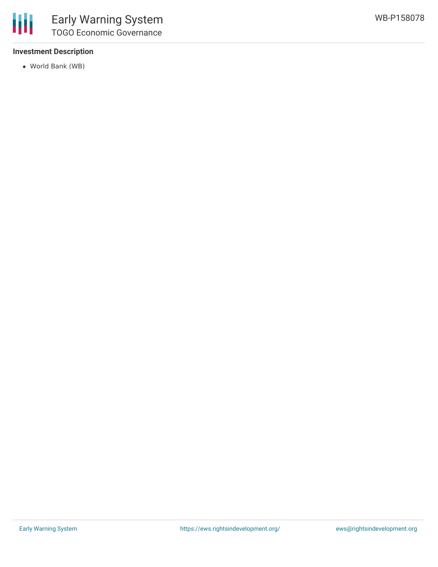## **Investment Description**

World Bank (WB)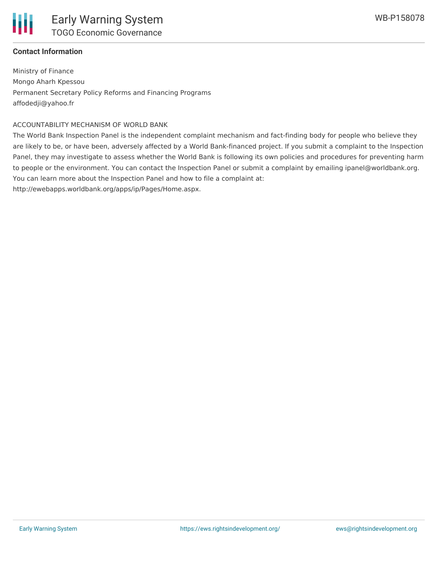

#### **Contact Information**

Ministry of Finance Mongo Aharh Kpessou Permanent Secretary Policy Reforms and Financing Programs affodedji@yahoo.fr

#### ACCOUNTABILITY MECHANISM OF WORLD BANK

The World Bank Inspection Panel is the independent complaint mechanism and fact-finding body for people who believe they are likely to be, or have been, adversely affected by a World Bank-financed project. If you submit a complaint to the Inspection Panel, they may investigate to assess whether the World Bank is following its own policies and procedures for preventing harm to people or the environment. You can contact the Inspection Panel or submit a complaint by emailing ipanel@worldbank.org. You can learn more about the Inspection Panel and how to file a complaint at:

http://ewebapps.worldbank.org/apps/ip/Pages/Home.aspx.